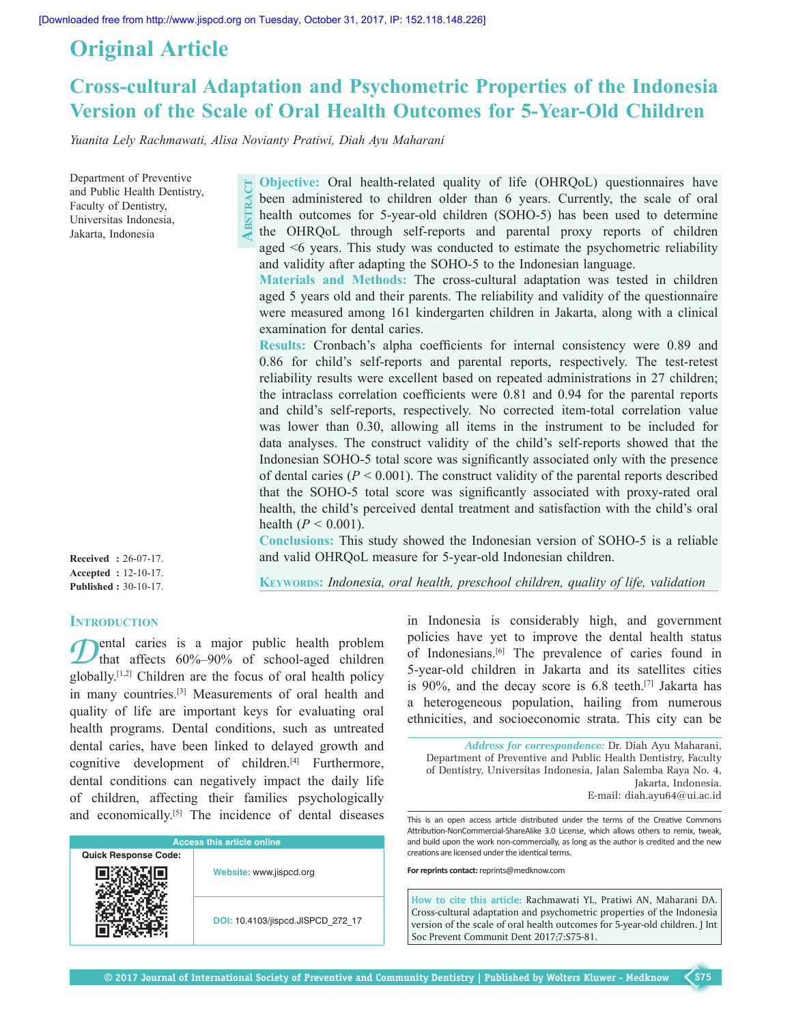# **Original Article**

# **Cross‑cultural Adaptation and Psychometric Properties of the Indonesia Version of the Scale of Oral Health Outcomes for 5‑Year‑Old Children**

*Yuanita Lely Rachmawati, Alisa Novianty Pratiwi, Diah Ayu Maharani*

Department of Preventive **Explanation Preventive**<br>
and Public Health Dentistry,<br>
Faculty of Dentistry,<br>
Universitas Indonesia,<br>
Jakarta, Indonesia Faculty of Dentistry, Universitas Indonesia,

**Objective:** Oral health-related quality of life (OHRQoL) questionnaires have been administered to children older than 6 years. Currently, the scale of oral health outcomes for 5-year-old children (SOHO-5) has been used to determine the OHRQoL through self-reports and parental proxy reports of children aged <6 years. This study was conducted to estimate the psychometric reliability and validity after adapting the SOHO-5 to the Indonesian language.

**Materials and Methods:** The cross‑cultural adaptation was tested in children aged 5 years old and their parents. The reliability and validity of the questionnaire were measured among 161 kindergarten children in Jakarta, along with a clinical examination for dental caries.

**Results:** Cronbach's alpha coefficients for internal consistency were 0.89 and 0.86 for child's self-reports and parental reports, respectively. The test-retest reliability results were excellent based on repeated administrations in 27 children; the intraclass correlation coefficients were 0.81 and 0.94 for the parental reports and child's self-reports, respectively. No corrected item-total correlation value was lower than 0.30, allowing all items in the instrument to be included for data analyses. The construct validity of the child's self‑reports showed that the Indonesian SOHO‑5 total score was significantly associated only with the presence of dental caries  $(P < 0.001)$ . The construct validity of the parental reports described that the SOHO-5 total score was significantly associated with proxy-rated oral health, the child's perceived dental treatment and satisfaction with the child's oral health  $(P < 0.001)$ .

Conclusions: This study showed the Indonesian version of SOHO-5 is a reliable and valid OHRQoL measure for 5‑year‑old Indonesian children.

**Received :** 26-07-17. **Accepted :** 12-10-17. **Published :** 30-10-17.

# **Keywords:** *Indonesia, oral health, preschool children, quality of life, validation*

## **INTRODUCTION**

**D**ental caries is a major public health problem<br>that affects 60%–90% of school-aged children globally.[1,2] Children are the focus of oral health policy in many countries.[3] Measurements of oral health and quality of life are important keys for evaluating oral health programs. Dental conditions, such as untreated dental caries, have been linked to delayed growth and cognitive development of children. $[4]$  Furthermore, dental conditions can negatively impact the daily life of children, affecting their families psychologically and economically.[5] The incidence of dental diseases

| <b>Access this article online</b> |                                   |  |  |  |  |
|-----------------------------------|-----------------------------------|--|--|--|--|
| <b>Quick Response Code:</b>       |                                   |  |  |  |  |
|                                   | Website: www.jispcd.org           |  |  |  |  |
|                                   | DOI: 10.4103/jispcd.JISPCD 272 17 |  |  |  |  |

in Indonesia is considerably high, and government policies have yet to improve the dental health status of Indonesians.[6] The prevalence of caries found in 5‑year‑old children in Jakarta and its satellites cities is 90%, and the decay score is  $6.8$  teeth.<sup>[7]</sup> Jakarta has a heterogeneous population, hailing from numerous ethnicities, and socioeconomic strata. This city can be

*Address for correspondence:* Dr. Diah Ayu Maharani, Department of Preventive and Public Health Dentistry, Faculty of Dentistry, Universitas Indonesia, Jalan Salemba Raya No. 4, Jakarta, Indonesia. E‑mail: diah.ayu64@ui.ac.id

This is an open access article distributed under the terms of the Creative Commons Attribution-NonCommercial-ShareAlike 3.0 License, which allows others to remix, tweak, and build upon the work non-commercially, as long as the author is credited and the new creations are licensed under the identical terms.

**For reprints contact:** reprints@medknow.com

**How to cite this article:** Rachmawati YL, Pratiwi AN, Maharani DA. Cross-cultural adaptation and psychometric properties of the Indonesia version of the scale of oral health outcomes for 5-year-old children. J Int Soc Prevent Communit Dent 2017;7:S75-81.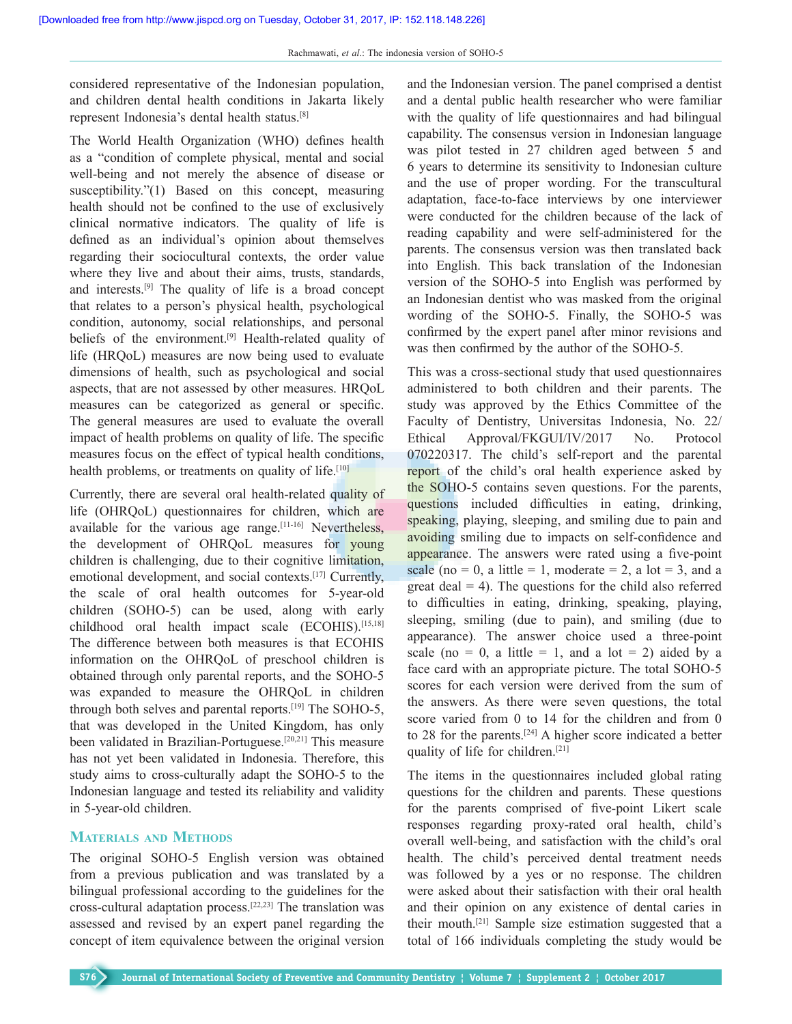considered representative of the Indonesian population, and children dental health conditions in Jakarta likely represent Indonesia's dental health status.[8]

The World Health Organization (WHO) defines health as a "condition of complete physical, mental and social well-being and not merely the absence of disease or susceptibility."(1) Based on this concept, measuring health should not be confined to the use of exclusively clinical normative indicators. The quality of life is defined as an individual's opinion about themselves regarding their sociocultural contexts, the order value where they live and about their aims, trusts, standards, and interests.[9] The quality of life is a broad concept that relates to a person's physical health, psychological condition, autonomy, social relationships, and personal beliefs of the environment.<sup>[9]</sup> Health-related quality of life (HRQoL) measures are now being used to evaluate dimensions of health, such as psychological and social aspects, that are not assessed by other measures. HRQoL measures can be categorized as general or specific. The general measures are used to evaluate the overall impact of health problems on quality of life. The specific measures focus on the effect of typical health conditions, health problems, or treatments on quality of life.<sup>[10]</sup>

Currently, there are several oral health‑related quality of life (OHRQoL) questionnaires for children, which are available for the various age range.[11‑16] Nevertheless, the development of OHRQoL measures for young children is challenging, due to their cognitive limitation, emotional development, and social contexts.[17] Currently, the scale of oral health outcomes for 5-year-old children (SOHO‑5) can be used, along with early childhood oral health impact scale (ECOHIS).[15,18] The difference between both measures is that ECOHIS information on the OHRQoL of preschool children is obtained through only parental reports, and the SOHO‑5 was expanded to measure the OHRQoL in children through both selves and parental reports.<sup>[19]</sup> The SOHO-5, that was developed in the United Kingdom, has only been validated in Brazilian-Portuguese.<sup>[20,21]</sup> This measure has not yet been validated in Indonesia. Therefore, this study aims to cross-culturally adapt the SOHO-5 to the Indonesian language and tested its reliability and validity in 5‑year‑old children.

### **Materials and Methods**

The original SOHO-5 English version was obtained from a previous publication and was translated by a bilingual professional according to the guidelines for the cross‑cultural adaptation process.[22,23] The translation was assessed and revised by an expert panel regarding the concept of item equivalence between the original version and the Indonesian version. The panel comprised a dentist and a dental public health researcher who were familiar with the quality of life questionnaires and had bilingual capability. The consensus version in Indonesian language was pilot tested in 27 children aged between 5 and 6 years to determine its sensitivity to Indonesian culture and the use of proper wording. For the transcultural adaptation, face-to-face interviews by one interviewer were conducted for the children because of the lack of reading capability and were self‑administered for the parents. The consensus version was then translated back into English. This back translation of the Indonesian version of the SOHO‑5 into English was performed by an Indonesian dentist who was masked from the original wording of the SOHO-5. Finally, the SOHO-5 was confirmed by the expert panel after minor revisions and was then confirmed by the author of the SOHO-5.

This was a cross‑sectional study that used questionnaires administered to both children and their parents. The study was approved by the Ethics Committee of the Faculty of Dentistry, Universitas Indonesia, No. 22/ Ethical Approval/FKGUI/IV/2017 No. Protocol 070220317. The child's self-report and the parental report of the child's oral health experience asked by the SOHO‑5 contains seven questions. For the parents, questions included difficulties in eating, drinking, speaking, playing, sleeping, and smiling due to pain and avoiding smiling due to impacts on self-confidence and appearance. The answers were rated using a five-point scale (no = 0, a little = 1, moderate = 2, a lot = 3, and a great deal  $= 4$ ). The questions for the child also referred to difficulties in eating, drinking, speaking, playing, sleeping, smiling (due to pain), and smiling (due to appearance). The answer choice used a three-point scale (no = 0, a little = 1, and a lot = 2) aided by a face card with an appropriate picture. The total SOHO-5 scores for each version were derived from the sum of the answers. As there were seven questions, the total score varied from 0 to 14 for the children and from 0 to 28 for the parents.[24] A higher score indicated a better quality of life for children.[21]

The items in the questionnaires included global rating questions for the children and parents. These questions for the parents comprised of five-point Likert scale responses regarding proxy-rated oral health, child's overall well‑being, and satisfaction with the child's oral health. The child's perceived dental treatment needs was followed by a yes or no response. The children were asked about their satisfaction with their oral health and their opinion on any existence of dental caries in their mouth.[21] Sample size estimation suggested that a total of 166 individuals completing the study would be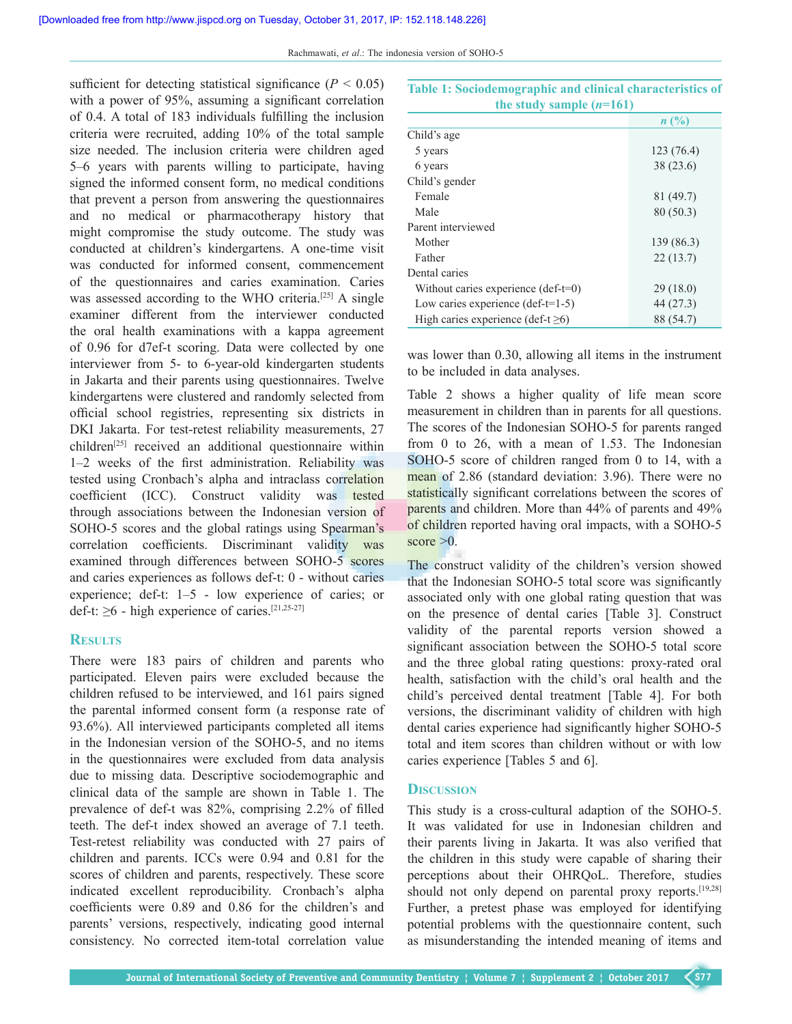sufficient for detecting statistical significance  $(P < 0.05)$ with a power of 95%, assuming a significant correlation of 0.4. A total of 183 individuals fulfilling the inclusion criteria were recruited, adding 10% of the total sample size needed. The inclusion criteria were children aged 5–6 years with parents willing to participate, having signed the informed consent form, no medical conditions that prevent a person from answering the questionnaires and no medical or pharmacotherapy history that might compromise the study outcome. The study was conducted at children's kindergartens. A one-time visit was conducted for informed consent, commencement of the questionnaires and caries examination. Caries was assessed according to the WHO criteria.<sup>[25]</sup> A single examiner different from the interviewer conducted the oral health examinations with a kappa agreement of 0.96 for d7ef-t scoring. Data were collected by one interviewer from 5– to 6-year-old kindergarten students in Jakarta and their parents using questionnaires. Twelve kindergartens were clustered and randomly selected from official school registries, representing six districts in DKI Jakarta. For test-retest reliability measurements, 27 children[25] received an additional questionnaire within 1–2 weeks of the first administration. Reliability was tested using Cronbach's alpha and intraclass correlation coefficient (ICC). Construct validity was tested through associations between the Indonesian version of SOHO-5 scores and the global ratings using Spearman's correlation coefficients. Discriminant validity was examined through differences between SOHO-5 scores and caries experiences as follows def-t: 0 - without caries experience; def-t:  $1-5$  - low experience of caries; or def-t:  $\geq 6$  - high experience of caries.<sup>[21,25-27]</sup>

### **Results**

There were 183 pairs of children and parents who participated. Eleven pairs were excluded because the children refused to be interviewed, and 161 pairs signed the parental informed consent form (a response rate of 93.6%). All interviewed participants completed all items in the Indonesian version of the SOHO-5, and no items in the questionnaires were excluded from data analysis due to missing data. Descriptive sociodemographic and clinical data of the sample are shown in Table 1. The prevalence of def-t was 82%, comprising 2.2% of filled teeth. The def-t index showed an average of 7.1 teeth. Test-retest reliability was conducted with 27 pairs of children and parents. ICCs were 0.94 and 0.81 for the scores of children and parents, respectively. These score indicated excellent reproducibility. Cronbach's alpha coefficients were 0.89 and 0.86 for the children's and parents' versions, respectively, indicating good internal consistency. No corrected item-total correlation value

| the study sample $(n=161)$                   |                |  |  |
|----------------------------------------------|----------------|--|--|
|                                              | $n(^{0}/_{0})$ |  |  |
| Child's age                                  |                |  |  |
| 5 years                                      | 123(76.4)      |  |  |
| 6 years                                      | 38 (23.6)      |  |  |
| Child's gender                               |                |  |  |
| Female                                       | 81 (49.7)      |  |  |
| Male                                         | 80(50.3)       |  |  |
| Parent interviewed                           |                |  |  |
| Mother                                       | 139 (86.3)     |  |  |
| Father                                       | 22(13.7)       |  |  |
| Dental caries                                |                |  |  |
| Without caries experience $(\text{def-t=0})$ | 29(18.0)       |  |  |
| Low caries experience $(\text{def-t=1-5})$   | 44 (27.3)      |  |  |
| High caries experience (def-t $\geq 6$ )     | 88 (54.7)      |  |  |

**Table 1: Sociodemographic and clinical characteristics of** 

was lower than 0.30, allowing all items in the instrument to be included in data analyses.

Table 2 shows a higher quality of life mean score measurement in children than in parents for all questions. The scores of the Indonesian SOHO-5 for parents ranged from 0 to 26, with a mean of 1.53. The Indonesian SOHO-5 score of children ranged from 0 to 14, with a mean of 2.86 (standard deviation: 3.96). There were no statistically significant correlations between the scores of parents and children. More than 44% of parents and 49% of children reported having oral impacts, with a SOHO‑5 score  $>0$ .

The construct validity of the children's version showed that the Indonesian SOHO-5 total score was significantly associated only with one global rating question that was on the presence of dental caries [Table 3]. Construct validity of the parental reports version showed a significant association between the SOHO-5 total score and the three global rating questions: proxy-rated oral health, satisfaction with the child's oral health and the child's perceived dental treatment [Table 4]. For both versions, the discriminant validity of children with high dental caries experience had significantly higher SOHO-5 total and item scores than children without or with low caries experience [Tables 5 and 6].

#### **Discussion**

This study is a cross-cultural adaption of the SOHO-5. It was validated for use in Indonesian children and their parents living in Jakarta. It was also verified that the children in this study were capable of sharing their perceptions about their OHRQoL. Therefore, studies should not only depend on parental proxy reports.<sup>[19,28]</sup> Further, a pretest phase was employed for identifying potential problems with the questionnaire content, such as misunderstanding the intended meaning of items and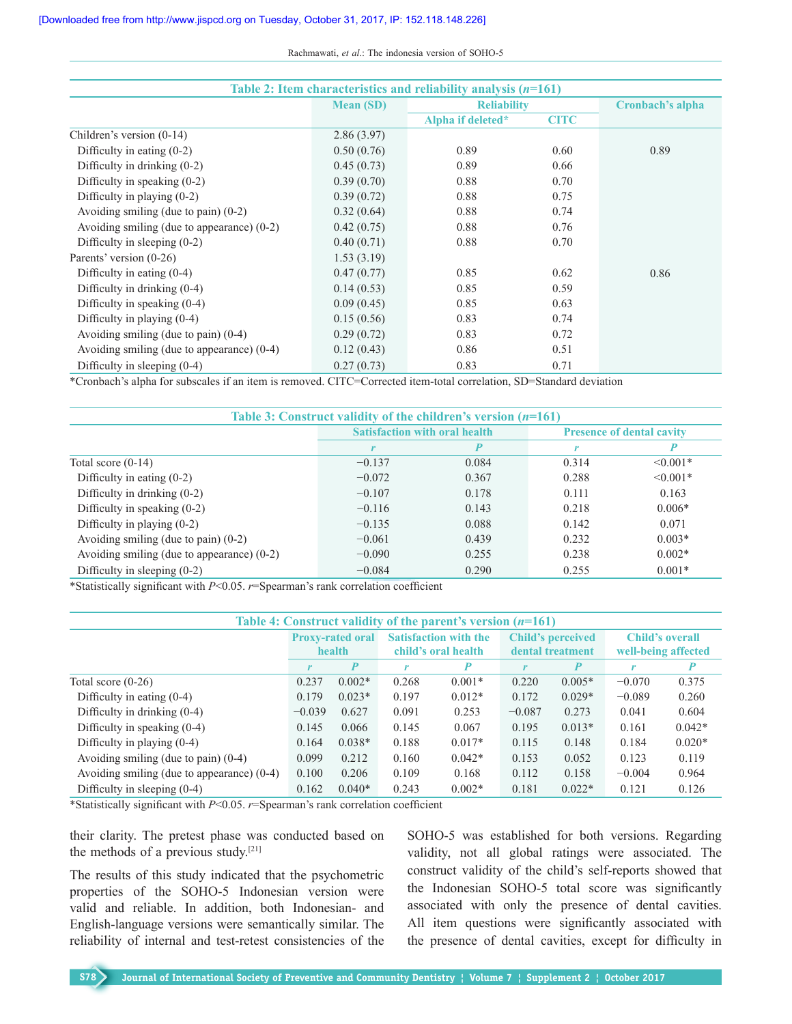| Table 2: Item characteristics and reliability analysis $(n=161)$ |                  |                    |             |                  |  |  |
|------------------------------------------------------------------|------------------|--------------------|-------------|------------------|--|--|
|                                                                  | <b>Mean (SD)</b> | <b>Reliability</b> |             | Cronbach's alpha |  |  |
|                                                                  |                  | Alpha if deleted*  | <b>CITC</b> |                  |  |  |
| Children's version (0-14)                                        | 2.86(3.97)       |                    |             |                  |  |  |
| Difficulty in eating $(0-2)$                                     | 0.50(0.76)       | 0.89               | 0.60        | 0.89             |  |  |
| Difficulty in drinking $(0-2)$                                   | 0.45(0.73)       | 0.89               | 0.66        |                  |  |  |
| Difficulty in speaking $(0-2)$                                   | 0.39(0.70)       | 0.88               | 0.70        |                  |  |  |
| Difficulty in playing $(0-2)$                                    | 0.39(0.72)       | 0.88               | 0.75        |                  |  |  |
| Avoiding smiling (due to pain) $(0-2)$                           | 0.32(0.64)       | 0.88               | 0.74        |                  |  |  |
| Avoiding smiling (due to appearance) $(0-2)$                     | 0.42(0.75)       | 0.88               | 0.76        |                  |  |  |
| Difficulty in sleeping $(0-2)$                                   | 0.40(0.71)       | 0.88               | 0.70        |                  |  |  |
| Parents' version (0-26)                                          | 1.53(3.19)       |                    |             |                  |  |  |
| Difficulty in eating $(0-4)$                                     | 0.47(0.77)       | 0.85               | 0.62        | 0.86             |  |  |
| Difficulty in drinking $(0-4)$                                   | 0.14(0.53)       | 0.85               | 0.59        |                  |  |  |
| Difficulty in speaking $(0-4)$                                   | 0.09(0.45)       | 0.85               | 0.63        |                  |  |  |
| Difficulty in playing $(0-4)$                                    | 0.15(0.56)       | 0.83               | 0.74        |                  |  |  |
| Avoiding smiling (due to pain) $(0-4)$                           | 0.29(0.72)       | 0.83               | 0.72        |                  |  |  |
| Avoiding smiling (due to appearance) $(0-4)$                     | 0.12(0.43)       | 0.86               | 0.51        |                  |  |  |
| Difficulty in sleeping $(0-4)$                                   | 0.27(0.73)       | 0.83               | 0.71        |                  |  |  |

\*Cronbach's alpha for subscales if an item is removed. CITC=Corrected item‑total correlation, SD=Standard deviation

| Table 3: Construct validity of the children's version $(n=161)$ |                                      |       |                                  |               |  |
|-----------------------------------------------------------------|--------------------------------------|-------|----------------------------------|---------------|--|
|                                                                 | <b>Satisfaction with oral health</b> |       | <b>Presence of dental cavity</b> |               |  |
|                                                                 | r                                    |       |                                  |               |  |
| Total score $(0-14)$                                            | $-0.137$                             | 0.084 | 0.314                            | $\leq 0.001*$ |  |
| Difficulty in eating $(0-2)$                                    | $-0.072$                             | 0.367 | 0.288                            | $\leq 0.001*$ |  |
| Difficulty in drinking (0-2)                                    | $-0.107$                             | 0.178 | 0.111                            | 0.163         |  |
| Difficulty in speaking $(0-2)$                                  | $-0.116$                             | 0.143 | 0.218                            | $0.006*$      |  |
| Difficulty in playing $(0-2)$                                   | $-0.135$                             | 0.088 | 0.142                            | 0.071         |  |
| Avoiding smiling (due to pain) $(0-2)$                          | $-0.061$                             | 0.439 | 0.232                            | $0.003*$      |  |
| Avoiding smiling (due to appearance) $(0-2)$                    | $-0.090$                             | 0.255 | 0.238                            | $0.002*$      |  |
| Difficulty in sleeping $(0-2)$                                  | $-0.084$                             | 0.290 | 0.255                            | $0.001*$      |  |

\*Statistically significant with *P*<0.05. *r*=Spearman's rank correlation coefficient

| Table 4: Construct validity of the parent's version $(n=161)$ |                         |          |                              |          |                          |          |                        |          |
|---------------------------------------------------------------|-------------------------|----------|------------------------------|----------|--------------------------|----------|------------------------|----------|
|                                                               | <b>Proxy-rated oral</b> |          | <b>Satisfaction with the</b> |          | <b>Child's perceived</b> |          | <b>Child's overall</b> |          |
|                                                               | health                  |          | child's oral health          |          | dental treatment         |          | well-being affected    |          |
|                                                               |                         | P        | r                            | P        | r                        | P        |                        |          |
| Total score $(0-26)$                                          | 0.237                   | $0.002*$ | 0.268                        | $0.001*$ | 0.220                    | $0.005*$ | $-0.070$               | 0.375    |
| Difficulty in eating $(0-4)$                                  | 0.179                   | $0.023*$ | 0.197                        | $0.012*$ | 0.172                    | $0.029*$ | $-0.089$               | 0.260    |
| Difficulty in drinking $(0-4)$                                | $-0.039$                | 0.627    | 0.091                        | 0.253    | $-0.087$                 | 0.273    | 0.041                  | 0.604    |
| Difficulty in speaking $(0-4)$                                | 0.145                   | 0.066    | 0.145                        | 0.067    | 0.195                    | $0.013*$ | 0.161                  | $0.042*$ |
| Difficulty in playing $(0-4)$                                 | 0.164                   | $0.038*$ | 0.188                        | $0.017*$ | 0.115                    | 0.148    | 0.184                  | $0.020*$ |
| Avoiding smiling (due to pain) $(0-4)$                        | 0.099                   | 0.212    | 0.160                        | $0.042*$ | 0.153                    | 0.052    | 0.123                  | 0.119    |
| Avoiding smiling (due to appearance) $(0-4)$                  | 0.100                   | 0.206    | 0.109                        | 0.168    | 0.112                    | 0.158    | $-0.004$               | 0.964    |
| Difficulty in sleeping $(0-4)$                                | 0.162                   | $0.040*$ | 0.243                        | $0.002*$ | 0.181                    | $0.022*$ | 0.121                  | 0.126    |

\*Statistically significant with *P*<0.05. *r*=Spearman's rank correlation coefficient

their clarity. The pretest phase was conducted based on the methods of a previous study.[21]

The results of this study indicated that the psychometric properties of the SOHO‑5 Indonesian version were valid and reliable. In addition, both Indonesian- and English‑language versions were semantically similar. The reliability of internal and test-retest consistencies of the SOHO-5 was established for both versions. Regarding validity, not all global ratings were associated. The construct validity of the child's self‑reports showed that the Indonesian SOHO-5 total score was significantly associated with only the presence of dental cavities. All item questions were significantly associated with the presence of dental cavities, except for difficulty in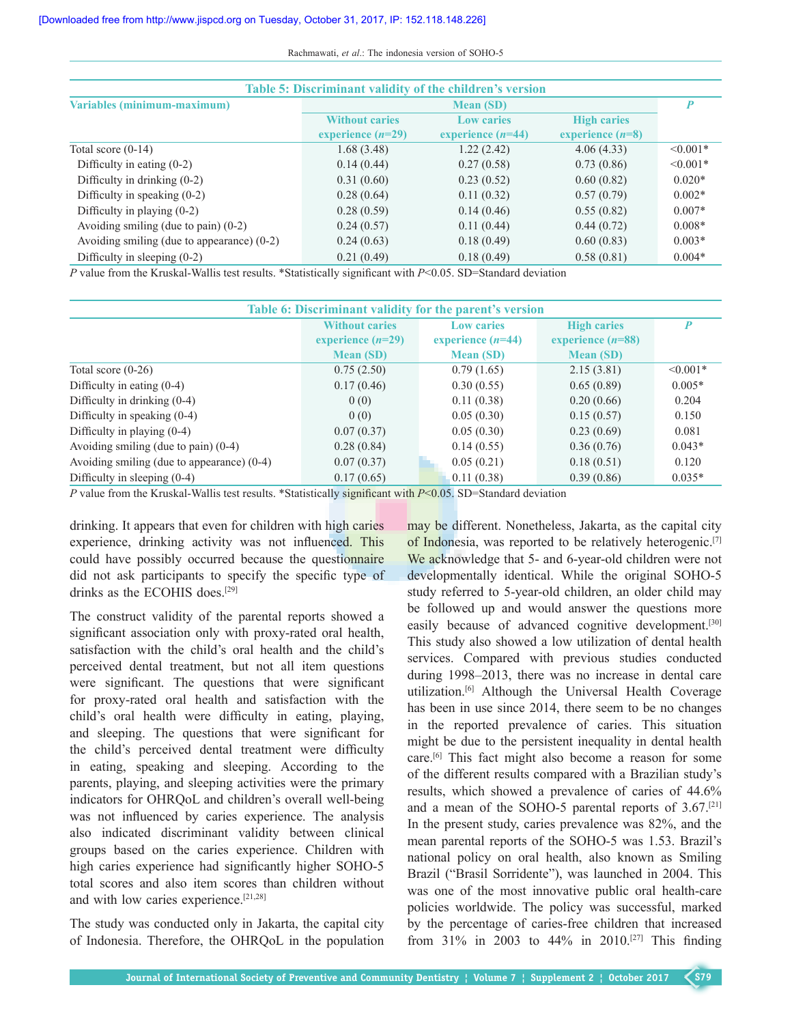Rachmawati, *et al*.: The indonesia version of SOHO-5

| Table 5: Discriminant validity of the children's version |                       |                     |                    |               |  |
|----------------------------------------------------------|-----------------------|---------------------|--------------------|---------------|--|
| Variables (minimum-maximum)                              | <b>Mean (SD)</b>      |                     |                    |               |  |
|                                                          | <b>Without caries</b> | <b>Low caries</b>   | <b>High caries</b> |               |  |
|                                                          | experience $(n=29)$   | experience $(n=44)$ | experience $(n=8)$ |               |  |
| Total score $(0-14)$                                     | 1.68(3.48)            | 1.22(2.42)          | 4.06(4.33)         | $\leq 0.001*$ |  |
| Difficulty in eating $(0-2)$                             | 0.14(0.44)            | 0.27(0.58)          | 0.73(0.86)         | $\leq 0.001*$ |  |
| Difficulty in drinking $(0-2)$                           | 0.31(0.60)            | 0.23(0.52)          | 0.60(0.82)         | $0.020*$      |  |
| Difficulty in speaking $(0-2)$                           | 0.28(0.64)            | 0.11(0.32)          | 0.57(0.79)         | $0.002*$      |  |
| Difficulty in playing $(0-2)$                            | 0.28(0.59)            | 0.14(0.46)          | 0.55(0.82)         | $0.007*$      |  |
| Avoiding smiling (due to pain) $(0-2)$                   | 0.24(0.57)            | 0.11(0.44)          | 0.44(0.72)         | $0.008*$      |  |
| Avoiding smiling (due to appearance) $(0-2)$             | 0.24(0.63)            | 0.18(0.49)          | 0.60(0.83)         | $0.003*$      |  |
| Difficulty in sleeping $(0-2)$                           | 0.21(0.49)            | 0.18(0.49)          | 0.58(0.81)         | $0.004*$      |  |

*P* value from the Kruskal–Wallis test results. \*Statistically significant with *P*<0.05. SD=Standard deviation

| Table 6: Discriminant validity for the parent's version |                                                                                          |                  |                                           |               |  |  |
|---------------------------------------------------------|------------------------------------------------------------------------------------------|------------------|-------------------------------------------|---------------|--|--|
|                                                         | <b>Without caries</b><br><b>Low caries</b><br>experience $(n=44)$<br>experience $(n=29)$ |                  | <b>High caries</b><br>experience $(n=88)$ | P             |  |  |
|                                                         | <b>Mean (SD)</b>                                                                         | <b>Mean (SD)</b> | <b>Mean (SD)</b>                          |               |  |  |
| Total score $(0-26)$                                    | 0.75(2.50)                                                                               | 0.79(1.65)       | 2.15(3.81)                                | $\leq 0.001*$ |  |  |
| Difficulty in eating $(0-4)$                            | 0.17(0.46)                                                                               | 0.30(0.55)       | 0.65(0.89)                                | $0.005*$      |  |  |
| Difficulty in drinking $(0-4)$                          | 0(0)                                                                                     | 0.11(0.38)       | 0.20(0.66)                                | 0.204         |  |  |
| Difficulty in speaking (0-4)                            | 0(0)                                                                                     | 0.05(0.30)       | 0.15(0.57)                                | 0.150         |  |  |
| Difficulty in playing $(0-4)$                           | 0.07(0.37)                                                                               | 0.05(0.30)       | 0.23(0.69)                                | 0.081         |  |  |
| Avoiding smiling (due to pain) $(0-4)$                  | 0.28(0.84)                                                                               | 0.14(0.55)       | 0.36(0.76)                                | $0.043*$      |  |  |
| Avoiding smiling (due to appearance) $(0-4)$            | 0.07(0.37)                                                                               | 0.05(0.21)       | 0.18(0.51)                                | 0.120         |  |  |
| Difficulty in sleeping $(0-4)$                          | 0.17(0.65)                                                                               | 0.11(0.38)       | 0.39(0.86)                                | $0.035*$      |  |  |

*P* value from the Kruskal–Wallis test results. \*Statistically significant with *P*<0.05. SD=Standard deviation

drinking. It appears that even for children with high caries experience, drinking activity was not influenced. This could have possibly occurred because the questionnaire did not ask participants to specify the specific type of drinks as the ECOHIS does.[29]

The construct validity of the parental reports showed a significant association only with proxy-rated oral health, satisfaction with the child's oral health and the child's perceived dental treatment, but not all item questions were significant. The questions that were significant for proxy‑rated oral health and satisfaction with the child's oral health were difficulty in eating, playing, and sleeping. The questions that were significant for the child's perceived dental treatment were difficulty in eating, speaking and sleeping. According to the parents, playing, and sleeping activities were the primary indicators for OHROoL and children's overall well-being was not influenced by caries experience. The analysis also indicated discriminant validity between clinical groups based on the caries experience. Children with high caries experience had significantly higher SOHO-5 total scores and also item scores than children without and with low caries experience.[21,28]

The study was conducted only in Jakarta, the capital city of Indonesia. Therefore, the OHRQoL in the population may be different. Nonetheless, Jakarta, as the capital city of Indonesia, was reported to be relatively heterogenic.<sup>[7]</sup> We acknowledge that 5- and 6-year-old children were not developmentally identical. While the original SOHO-5 study referred to 5-year-old children, an older child may be followed up and would answer the questions more easily because of advanced cognitive development.<sup>[30]</sup> This study also showed a low utilization of dental health services. Compared with previous studies conducted during 1998–2013, there was no increase in dental care utilization.[6] Although the Universal Health Coverage has been in use since 2014, there seem to be no changes in the reported prevalence of caries. This situation might be due to the persistent inequality in dental health care.[6] This fact might also become a reason for some of the different results compared with a Brazilian study's results, which showed a prevalence of caries of 44.6% and a mean of the SOHO-5 parental reports of  $3.67$ .<sup>[21]</sup> In the present study, caries prevalence was 82%, and the mean parental reports of the SOHO-5 was 1.53. Brazil's national policy on oral health, also known as Smiling Brazil ("Brasil Sorridente"), was launched in 2004. This was one of the most innovative public oral health-care policies worldwide. The policy was successful, marked by the percentage of caries-free children that increased from 31% in 2003 to 44% in 2010.<sup>[27]</sup> This finding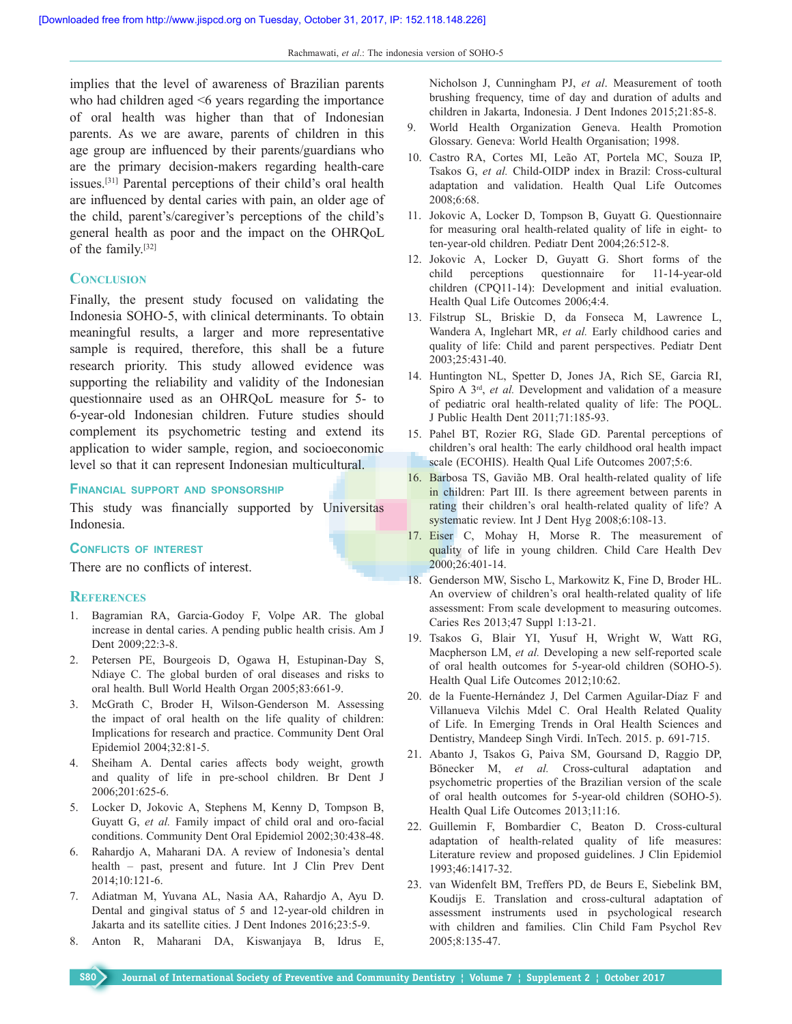implies that the level of awareness of Brazilian parents who had children aged  $\leq 6$  years regarding the importance of oral health was higher than that of Indonesian parents. As we are aware, parents of children in this age group are influenced by their parents/guardians who are the primary decision–makers regarding health-care issues.[31] Parental perceptions of their child's oral health are influenced by dental caries with pain, an older age of the child, parent's/caregiver's perceptions of the child's general health as poor and the impact on the OHRQoL of the family.[32]

#### **Conclusion**

Finally, the present study focused on validating the Indonesia SOHO‑5, with clinical determinants. To obtain meaningful results, a larger and more representative sample is required, therefore, this shall be a future research priority. This study allowed evidence was supporting the reliability and validity of the Indonesian questionnaire used as an OHRQoL measure for 5‑ to 6‑year‑old Indonesian children. Future studies should complement its psychometric testing and extend its application to wider sample, region, and socioeconomic level so that it can represent Indonesian multicultural.

#### **Financial support and sponsorship**

This study was financially supported by Universitas Indonesia.

#### **Conflicts of interest**

There are no conflicts of interest.

#### **References**

- 1. Bagramian RA, Garcia‑Godoy F, Volpe AR. The global increase in dental caries. A pending public health crisis. Am J Dent 2009;22:3-8.
- 2. Petersen PE, Bourgeois D, Ogawa H, Estupinan‑Day S, Ndiaye C. The global burden of oral diseases and risks to oral health. Bull World Health Organ 2005;83:661‑9.
- 3. McGrath C, Broder H, Wilson‑Genderson M. Assessing the impact of oral health on the life quality of children: Implications for research and practice. Community Dent Oral Epidemiol 2004;32:81-5.
- 4. Sheiham A. Dental caries affects body weight, growth and quality of life in pre‑school children. Br Dent J 2006;201:625‑6.
- 5. Locker D, Jokovic A, Stephens M, Kenny D, Tompson B, Guyatt G, *et al.* Family impact of child oral and oro-facial conditions. Community Dent Oral Epidemiol 2002;30:438‑48.
- 6. Rahardjo A, Maharani DA. A review of Indonesia's dental health – past, present and future. Int J Clin Prev Dent 2014;10:121‑6.
- 7. Adiatman M, Yuvana AL, Nasia AA, Rahardjo A, Ayu D. Dental and gingival status of 5 and 12-year-old children in Jakarta and its satellite cities. J Dent Indones 2016;23:5‑9.
- 8. Anton R, Maharani DA, Kiswanjaya B, Idrus E,

Nicholson J, Cunningham PJ, *et al*. Measurement of tooth brushing frequency, time of day and duration of adults and children in Jakarta, Indonesia. J Dent Indones 2015;21:85‑8.

- 9. World Health Organization Geneva. Health Promotion Glossary. Geneva: World Health Organisation; 1998.
- 10. Castro RA, Cortes MI, Leão AT, Portela MC, Souza IP, Tsakos G, et al. Child-OIDP index in Brazil: Cross-cultural adaptation and validation. Health Qual Life Outcomes 2008;6:68.
- 11. Jokovic A, Locker D, Tompson B, Guyatt G. Questionnaire for measuring oral health-related quality of life in eight- to ten-year-old children. Pediatr Dent 2004;26:512-8.
- 12. Jokovic A, Locker D, Guyatt G. Short forms of the child perceptions questionnaire for 11‑14‑year‑old children (CPQ11-14): Development and initial evaluation. Health Qual Life Outcomes 2006;4:4.
- 13. Filstrup SL, Briskie D, da Fonseca M, Lawrence L, Wandera A, Inglehart MR, *et al.* Early childhood caries and quality of life: Child and parent perspectives. Pediatr Dent 2003;25:431‑40.
- 14. Huntington NL, Spetter D, Jones JA, Rich SE, Garcia RI, Spiro A 3rd, *et al.* Development and validation of a measure of pediatric oral health-related quality of life: The POQL. J Public Health Dent 2011;71:185‑93.
- 15. Pahel BT, Rozier RG, Slade GD. Parental perceptions of children's oral health: The early childhood oral health impact scale (ECOHIS). Health Qual Life Outcomes 2007;5:6.
- 16. Barbosa TS, Gavião MB. Oral health-related quality of life in children: Part III. Is there agreement between parents in rating their children's oral health-related quality of life? A systematic review. Int J Dent Hyg 2008;6:108-13.
- 17. Eiser C, Mohay H, Morse R. The measurement of quality of life in young children. Child Care Health Dev 2000;26:401‑14.
- 18. Genderson MW, Sischo L, Markowitz K, Fine D, Broder HL. An overview of children's oral health-related quality of life assessment: From scale development to measuring outcomes. Caries Res 2013;47 Suppl 1:13‑21.
- 19. Tsakos G, Blair YI, Yusuf H, Wright W, Watt RG, Macpherson LM, *et al.* Developing a new self-reported scale of oral health outcomes for 5‑year‑old children (SOHO‑5). Health Qual Life Outcomes 2012;10:62.
- 20. de la Fuente-Hernández J, Del Carmen Aguilar-Díaz F and Villanueva Vilchis Mdel C. Oral Health Related Quality of Life. In Emerging Trends in Oral Health Sciences and Dentistry, Mandeep Singh Virdi. InTech. 2015. p. 691-715.
- 21. Abanto J, Tsakos G, Paiva SM, Goursand D, Raggio DP, Bönecker M, *et al.* Cross-cultural adaptation and psychometric properties of the Brazilian version of the scale of oral health outcomes for 5‑year‑old children (SOHO‑5). Health Qual Life Outcomes 2013;11:16.
- 22. Guillemin F, Bombardier C, Beaton D. Cross-cultural adaptation of health-related quality of life measures: Literature review and proposed guidelines. J Clin Epidemiol 1993;46:1417‑32.
- 23. van Widenfelt BM, Treffers PD, de Beurs E, Siebelink BM, Koudijs E. Translation and cross-cultural adaptation of assessment instruments used in psychological research with children and families. Clin Child Fam Psychol Rev 2005;8:135‑47.